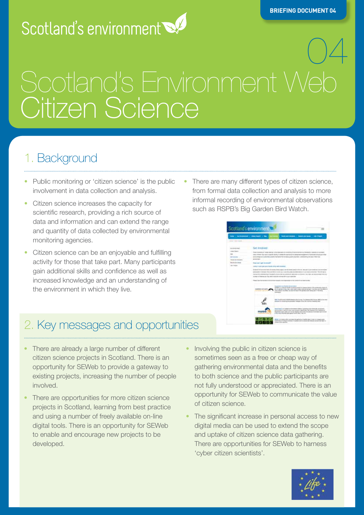# Scotland's environment

# 04 **Scotland's Environment Web Citizen Science**

# 1. Background

- Public monitoring or 'citizen science' is the public involvement in data collection and analysis.
- Citizen science increases the capacity for scientific research, providing a rich source of data and information and can extend the range and quantity of data collected by environmental monitoring agencies.
- Citizen science can be an enjoyable and fulfilling activity for those that take part. Many participants gain additional skills and confidence as well as increased knowledge and an understanding of the environment in which they live.
- There are many different types of citizen science, from formal data collection and analysis to more informal recording of environmental observations such as RSPB's Big Garden Bird Watch.



## 2. Key messages and opportunities

- There are already a large number of different citizen science projects in Scotland. There is an opportunity for Scotland's Environment Web to provide a gateway to existing projects, increasing the number of people involved.
- There are opportunities for more citizen science projects in Scotland, learning from best practice and using a number of freely available on-line digital tools. There is an opportunity for Scotland's Environment Web to enable and encourage new projects to be developed.
- Involving the public in citizen science is sometimes seen as a free or cheap way of gathering environmental data and the benefits to both science and the public participants are not fully understood or appreciated. There is an opportunity for Scotland's Environment Web to communicate the value of citizen science.
- The significant increase in personal access to new digital media can be used to extend the scope and uptake of citizen science data gathering. There are opportunities for Scotland's Environment Web to harness 'cyber citizen scientists'.